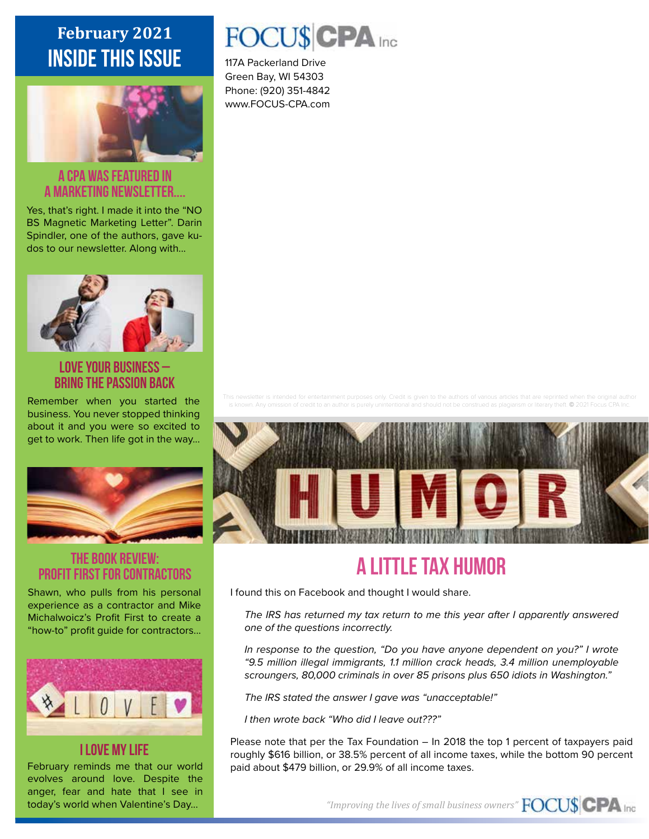## **February 2021** inside this issue



#### A CPA was featured in a Marketing newsletter....

Yes, that's right. I made it into the "NO BS Magnetic Marketing Letter". Darin Spindler, one of the authors, gave kudos to our newsletter. Along with...



#### Love Your Business – Bring the passion back

Remember when you started the business. You never stopped thinking about it and you were so excited to get to work. Then life got in the way...



### THE BOOK REVIEW: Profit First for Contractors

Shawn, who pulls from his personal experience as a contractor and Mike Michalwoicz's Profit First to create a "how-to" profit guide for contractors...



#### I Love My Life

February reminds me that our world evolves around love. Despite the anger, fear and hate that I see in today's world when Valentine's Day...

# FOCU\$CPA Inc

117A Packerland Drive Green Bay, WI 54303 Phone: (920) 351-4842 www.FOCUS-CPA.com

ied as plagiarism or literary theft. © 2021 Focus CPA Inc.



# A Little Tax Humor

I found this on Facebook and thought I would share.

*The IRS has returned my tax return to me this year after I apparently answered one of the questions incorrectly.*

*In response to the question, "Do you have anyone dependent on you?" I wrote "9.5 million illegal immigrants, 1.1 million crack heads, 3.4 million unemployable scroungers, 80,000 criminals in over 85 prisons plus 650 idiots in Washington."*

*The IRS stated the answer I gave was "unacceptable!"*

*I then wrote back "Who did I leave out???"*

Please note that per the Tax Foundation – In 2018 the top 1 percent of taxpayers paid roughly \$616 billion, or 38.5% percent of all income taxes, while the bottom 90 percent paid about \$479 billion, or 29.9% of all income taxes.

*"Improving the lives of small business owners"*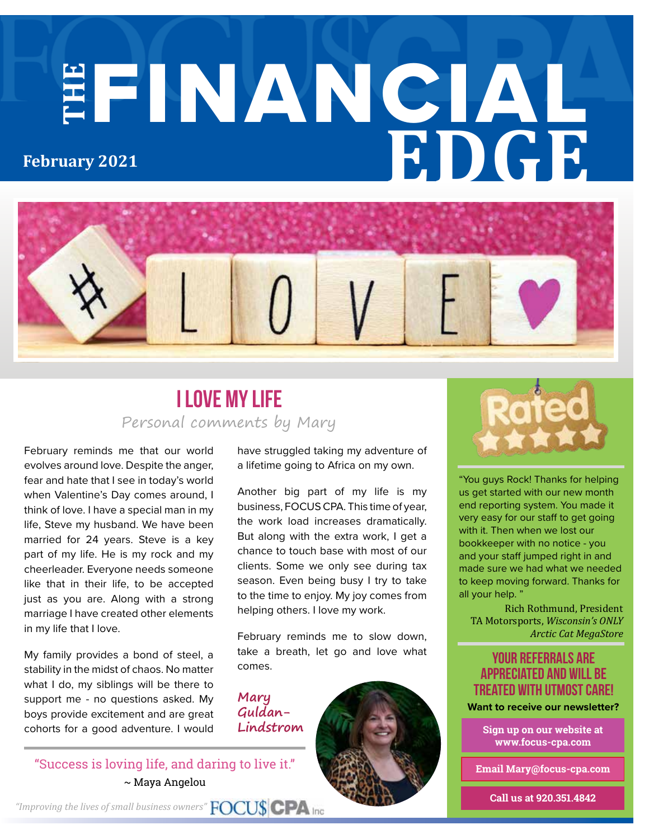# **THE** FINANCIAL **EDGE February 2021**



## Personal comments by Mary I Love My Life

February reminds me that our world evolves around love. Despite the anger, fear and hate that I see in today's world when Valentine's Day comes around, I think of love. I have a special man in my life, Steve my husband. We have been married for 24 years. Steve is a key part of my life. He is my rock and my cheerleader. Everyone needs someone like that in their life, to be accepted just as you are. Along with a strong marriage I have created other elements in my life that I love.

My family provides a bond of steel, a stability in the midst of chaos. No matter what I do, my siblings will be there to support me - no questions asked. My boys provide excitement and are great cohorts for a good adventure. I would

have struggled taking my adventure of a lifetime going to Africa on my own.

Another big part of my life is my business, FOCUS CPA. This time of year, the work load increases dramatically. But along with the extra work, I get a chance to touch base with most of our clients. Some we only see during tax season. Even being busy I try to take to the time to enjoy. My joy comes from helping others. I love my work.

February reminds me to slow down, take a breath, let go and love what comes.

**Guldan-Lindstrom**







"You guys Rock! Thanks for helping us get started with our new month end reporting system. You made it very easy for our staff to get going with it. Then when we lost our bookkeeper with no notice - you and your staff jumped right in and made sure we had what we needed to keep moving forward. Thanks for all your help.'

Rich Rothmund, President TA Motorsports, *Wisconsin's ONLY Arctic Cat MegaStore*

#### your referrals are appreciated and will be treated with utmost care!

**Sign up on our website at www.focus-cpa.com**

**Email Mary@focus-cpa.com**

**Call us at 920.351.4842**

*"Improving the lives of small business owners"*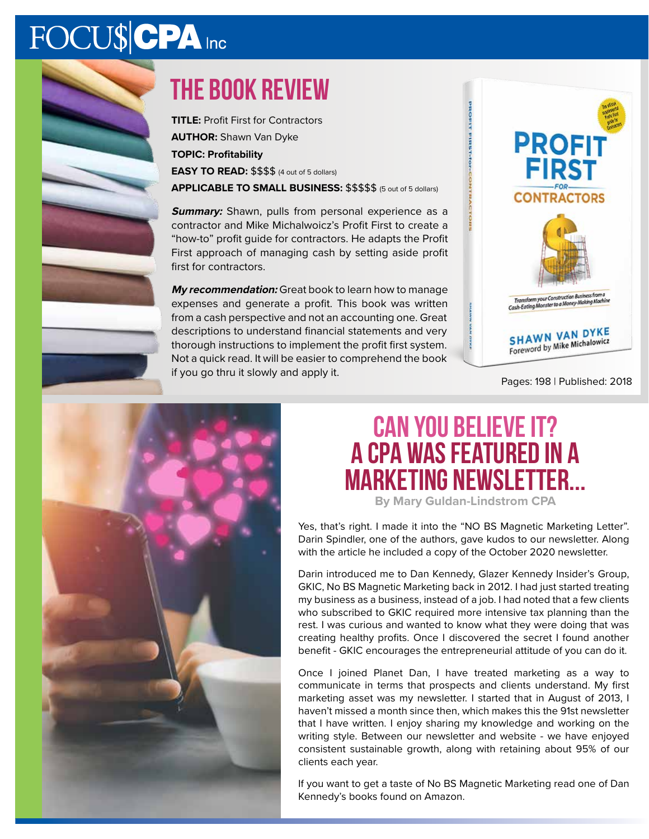# FOCU\$CPA Inc

# the book review

**TITLE:** Profit First for Contractors **AUTHOR:** Shawn Van Dyke **TOPIC: Profitability EASY TO READ:** \$\$\$\$ (4 out of 5 dollars) **APPLICABLE TO SMALL BUSINESS:** \$\$\$\$\$ (5 out of 5 dollars)

**Summary:** Shawn, pulls from personal experience as a contractor and Mike Michalwoicz's Profit First to create a "how-to" profit guide for contractors. He adapts the Profit First approach of managing cash by setting aside profit first for contractors.

**My recommendation:** Great book to learn how to manage expenses and generate a profit. This book was written from a cash perspective and not an accounting one. Great descriptions to understand financial statements and very thorough instructions to implement the profit first system. Not a quick read. It will be easier to comprehend the book if you go thru it slowly and apply it.



Pages: 198 | Published: 2018



# **Can you believe it? A CPA was featured in a Marketing newsletter...**

**By Mary Guldan-Lindstrom CPA**

Yes, that's right. I made it into the "NO BS Magnetic Marketing Letter". Darin Spindler, one of the authors, gave kudos to our newsletter. Along with the article he included a copy of the October 2020 newsletter.

Darin introduced me to Dan Kennedy, Glazer Kennedy Insider's Group, GKIC, No BS Magnetic Marketing back in 2012. I had just started treating my business as a business, instead of a job. I had noted that a few clients who subscribed to GKIC required more intensive tax planning than the rest. I was curious and wanted to know what they were doing that was creating healthy profits. Once I discovered the secret I found another benefit - GKIC encourages the entrepreneurial attitude of you can do it.

Once I joined Planet Dan, I have treated marketing as a way to communicate in terms that prospects and clients understand. My first marketing asset was my newsletter. I started that in August of 2013, I haven't missed a month since then, which makes this the 91st newsletter that I have written. I enjoy sharing my knowledge and working on the writing style. Between our newsletter and website - we have enjoyed consistent sustainable growth, along with retaining about 95% of our clients each year.

If you want to get a taste of No BS Magnetic Marketing read one of Dan Kennedy's books found on Amazon.